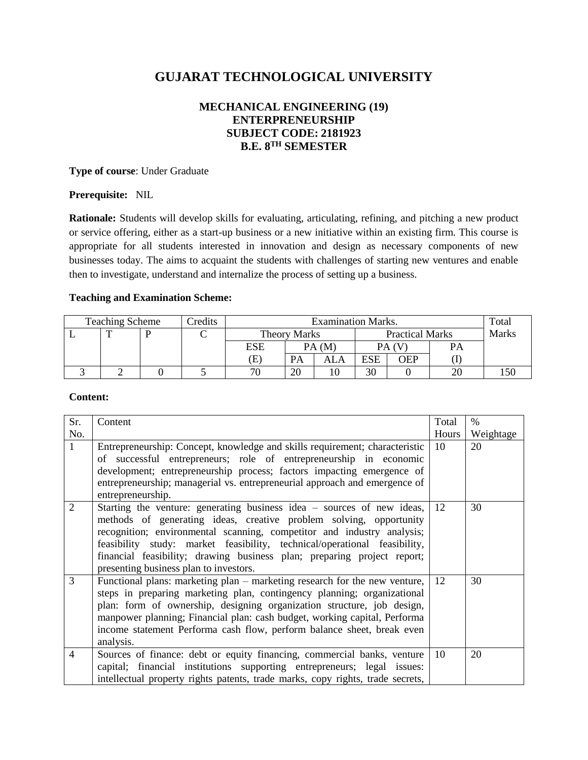# **GUJARAT TECHNOLOGICAL UNIVERSITY**

# **MECHANICAL ENGINEERING (19) ENTERPRENEURSHIP SUBJECT CODE: 2181923 B.E. 8TH SEMESTER**

**Type of course**: Under Graduate

#### **Prerequisite:** NIL

**Rationale:** Students will develop skills for evaluating, articulating, refining, and pitching a new product or service offering, either as a start-up business or a new initiative within an existing firm. This course is appropriate for all students interested in innovation and design as necessary components of new businesses today. The aims to acquaint the students with challenges of starting new ventures and enable then to investigate, understand and internalize the process of setting up a business.

## **Teaching and Examination Scheme:**

| <b>Teaching Scheme</b><br>Credits |  |  | <b>Examination Marks.</b> |                            |       |                        |            | Total |              |  |
|-----------------------------------|--|--|---------------------------|----------------------------|-------|------------------------|------------|-------|--------------|--|
|                                   |  |  |                           | <b>Theory Marks</b>        |       | <b>Practical Marks</b> |            |       | <b>Marks</b> |  |
|                                   |  |  |                           | ESE                        | PA(M) |                        | PA (       |       | PA           |  |
|                                   |  |  |                           | $\left( \mathrm{E}\right)$ | PA    | ALA                    | <b>ESE</b> | OEP   |              |  |
|                                   |  |  |                           | 70                         | 20    | 10                     | 30         |       |              |  |

#### **Content:**

| Sr.            | Content                                                                                                                                                                                                                                                                                                                                                                                                                  | Total         | $\%$      |
|----------------|--------------------------------------------------------------------------------------------------------------------------------------------------------------------------------------------------------------------------------------------------------------------------------------------------------------------------------------------------------------------------------------------------------------------------|---------------|-----------|
| No.            |                                                                                                                                                                                                                                                                                                                                                                                                                          | Hours         | Weightage |
| $\mathbf{1}$   | Entrepreneurship: Concept, knowledge and skills requirement; characteristic<br>of successful entrepreneurs; role of entrepreneurship in economic                                                                                                                                                                                                                                                                         | 10            | 20        |
|                | development; entrepreneurship process; factors impacting emergence of<br>entrepreneurship; managerial vs. entrepreneurial approach and emergence of<br>entrepreneurship.                                                                                                                                                                                                                                                 |               |           |
| 2              | Starting the venture: generating business idea – sources of new ideas,<br>methods of generating ideas, creative problem solving, opportunity<br>recognition; environmental scanning, competitor and industry analysis;<br>feasibility study: market feasibility, technical/operational feasibility,<br>financial feasibility; drawing business plan; preparing project report;<br>presenting business plan to investors. | 12            | 30        |
| 3              | Functional plans: marketing plan – marketing research for the new venture,<br>steps in preparing marketing plan, contingency planning; organizational<br>plan: form of ownership, designing organization structure, job design,<br>manpower planning; Financial plan: cash budget, working capital, Performa<br>income statement Performa cash flow, perform balance sheet, break even<br>analysis.                      | <sup>12</sup> | 30        |
| $\overline{4}$ | Sources of finance: debt or equity financing, commercial banks, venture<br>capital; financial institutions supporting entrepreneurs; legal issues:<br>intellectual property rights patents, trade marks, copy rights, trade secrets,                                                                                                                                                                                     | 10            | 20        |